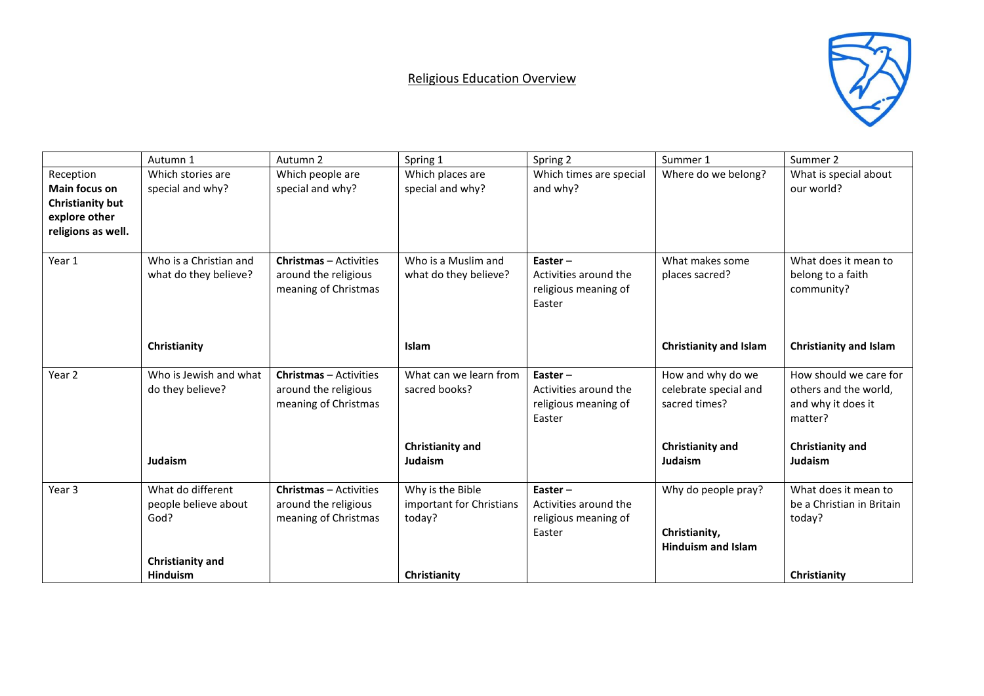## Religious Education Overview



|                      | Autumn 1                | Autumn 2                      | Spring 1                 | Spring 2                | Summer 1                      | Summer 2                      |
|----------------------|-------------------------|-------------------------------|--------------------------|-------------------------|-------------------------------|-------------------------------|
| Reception            | Which stories are       | Which people are              | Which places are         | Which times are special | Where do we belong?           | What is special about         |
| <b>Main focus on</b> | special and why?        | special and why?              | special and why?         | and why?                |                               | our world?                    |
| Christianity but     |                         |                               |                          |                         |                               |                               |
| explore other        |                         |                               |                          |                         |                               |                               |
| religions as well.   |                         |                               |                          |                         |                               |                               |
| Year 1               | Who is a Christian and  | <b>Christmas</b> – Activities | Who is a Muslim and      | Easter $-$              | What makes some               | What does it mean to          |
|                      | what do they believe?   | around the religious          | what do they believe?    | Activities around the   | places sacred?                | belong to a faith             |
|                      |                         | meaning of Christmas          |                          | religious meaning of    |                               | community?                    |
|                      |                         |                               |                          | Easter                  |                               |                               |
|                      |                         |                               |                          |                         |                               |                               |
|                      | Christianity            |                               | <b>Islam</b>             |                         | <b>Christianity and Islam</b> | <b>Christianity and Islam</b> |
|                      |                         |                               |                          |                         |                               |                               |
| Year <sub>2</sub>    | Who is Jewish and what  | <b>Christmas</b> - Activities | What can we learn from   | Easter $-$              | How and why do we             | How should we care for        |
|                      | do they believe?        | around the religious          | sacred books?            | Activities around the   | celebrate special and         | others and the world,         |
|                      |                         | meaning of Christmas          |                          | religious meaning of    | sacred times?                 | and why it does it            |
|                      |                         |                               |                          | Easter                  |                               | matter?                       |
|                      |                         |                               | Christianity and         |                         | Christianity and              | Christianity and              |
|                      | Judaism                 |                               | Judaism                  |                         | Judaism                       | <b>Judaism</b>                |
|                      |                         |                               |                          |                         |                               |                               |
| Year <sub>3</sub>    | What do different       | <b>Christmas</b> - Activities | Why is the Bible         | Easter $-$              | Why do people pray?           | What does it mean to          |
|                      | people believe about    | around the religious          | important for Christians | Activities around the   |                               | be a Christian in Britain     |
|                      | God?                    | meaning of Christmas          | today?                   | religious meaning of    |                               | today?                        |
|                      |                         |                               |                          | Easter                  | Christianity,                 |                               |
|                      | <b>Christianity and</b> |                               |                          |                         | <b>Hinduism and Islam</b>     |                               |
|                      | <b>Hinduism</b>         |                               | Christianity             |                         |                               | Christianity                  |
|                      |                         |                               |                          |                         |                               |                               |